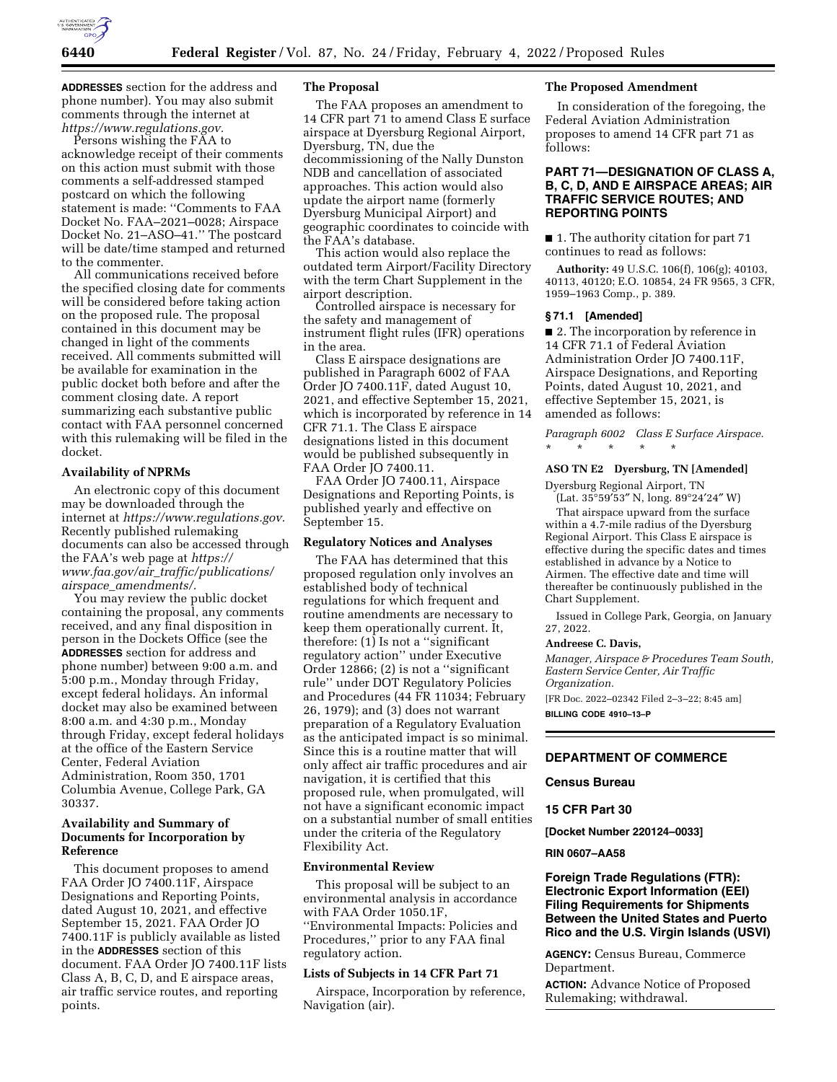

**ADDRESSES** section for the address and phone number). You may also submit comments through the internet at *[https://www.regulations.gov.](https://www.regulations.gov)* 

Persons wishing the FAA to acknowledge receipt of their comments on this action must submit with those comments a self-addressed stamped postcard on which the following statement is made: ''Comments to FAA Docket No. FAA–2021–0028; Airspace Docket No. 21–ASO–41.'' The postcard will be date/time stamped and returned to the commenter.

All communications received before the specified closing date for comments will be considered before taking action on the proposed rule. The proposal contained in this document may be changed in light of the comments received. All comments submitted will be available for examination in the public docket both before and after the comment closing date. A report summarizing each substantive public contact with FAA personnel concerned with this rulemaking will be filed in the docket.

### **Availability of NPRMs**

An electronic copy of this document may be downloaded through the internet at *[https://www.regulations.gov.](https://www.regulations.gov)*  Recently published rulemaking documents can also be accessed through the FAA's web page at *[https://](https://www.faa.gov/air_traffic/publications/airspace_amendments/) www.faa.gov/air*\_*[traffic/publications/](https://www.faa.gov/air_traffic/publications/airspace_amendments/) airspace*\_*[amendments/.](https://www.faa.gov/air_traffic/publications/airspace_amendments/)* 

You may review the public docket containing the proposal, any comments received, and any final disposition in person in the Dockets Office (see the **ADDRESSES** section for address and phone number) between 9:00 a.m. and 5:00 p.m., Monday through Friday, except federal holidays. An informal docket may also be examined between 8:00 a.m. and 4:30 p.m., Monday through Friday, except federal holidays at the office of the Eastern Service Center, Federal Aviation Administration, Room 350, 1701 Columbia Avenue, College Park, GA 30337.

# **Availability and Summary of Documents for Incorporation by Reference**

This document proposes to amend FAA Order JO 7400.11F, Airspace Designations and Reporting Points, dated August 10, 2021, and effective September 15, 2021. FAA Order JO 7400.11F is publicly available as listed in the **ADDRESSES** section of this document. FAA Order JO 7400.11F lists Class A, B, C, D, and E airspace areas, air traffic service routes, and reporting points.

# **The Proposal**

The FAA proposes an amendment to 14 CFR part 71 to amend Class E surface airspace at Dyersburg Regional Airport, Dyersburg, TN, due the decommissioning of the Nally Dunston NDB and cancellation of associated approaches. This action would also update the airport name (formerly Dyersburg Municipal Airport) and geographic coordinates to coincide with the FAA's database.

This action would also replace the outdated term Airport/Facility Directory with the term Chart Supplement in the airport description.

Controlled airspace is necessary for the safety and management of instrument flight rules (IFR) operations in the area.

Class E airspace designations are published in Paragraph 6002 of FAA Order JO 7400.11F, dated August 10, 2021, and effective September 15, 2021, which is incorporated by reference in 14 CFR 71.1. The Class E airspace designations listed in this document would be published subsequently in FAA Order JO 7400.11.

FAA Order JO 7400.11, Airspace Designations and Reporting Points, is published yearly and effective on September 15.

### **Regulatory Notices and Analyses**

The FAA has determined that this proposed regulation only involves an established body of technical regulations for which frequent and routine amendments are necessary to keep them operationally current. It, therefore: (1) Is not a ''significant regulatory action'' under Executive Order 12866; (2) is not a ''significant rule'' under DOT Regulatory Policies and Procedures (44 FR 11034; February 26, 1979); and (3) does not warrant preparation of a Regulatory Evaluation as the anticipated impact is so minimal. Since this is a routine matter that will only affect air traffic procedures and air navigation, it is certified that this proposed rule, when promulgated, will not have a significant economic impact on a substantial number of small entities under the criteria of the Regulatory Flexibility Act.

#### **Environmental Review**

This proposal will be subject to an environmental analysis in accordance with FAA Order 1050.1F, ''Environmental Impacts: Policies and Procedures,'' prior to any FAA final regulatory action.

### **Lists of Subjects in 14 CFR Part 71**

Airspace, Incorporation by reference, Navigation (air).

## **The Proposed Amendment**

In consideration of the foregoing, the Federal Aviation Administration proposes to amend 14 CFR part 71 as follows:

# **PART 71—DESIGNATION OF CLASS A, B, C, D, AND E AIRSPACE AREAS; AIR TRAFFIC SERVICE ROUTES; AND REPORTING POINTS**

■ 1. The authority citation for part 71 continues to read as follows:

**Authority:** 49 U.S.C. 106(f), 106(g); 40103, 40113, 40120; E.O. 10854, 24 FR 9565, 3 CFR, 1959–1963 Comp., p. 389.

#### **§ 71.1 [Amended]**

■ 2. The incorporation by reference in 14 CFR 71.1 of Federal Aviation Administration Order JO 7400.11F, Airspace Designations, and Reporting Points, dated August 10, 2021, and effective September 15, 2021, is amended as follows:

*Paragraph 6002 Class E Surface Airspace.*  \* \* \* \* \*

### **ASO TN E2 Dyersburg, TN [Amended]**

Dyersburg Regional Airport, TN (Lat. 35°59′53″ N, long. 89°24′24″ W)

That airspace upward from the surface within a 4.7-mile radius of the Dyersburg Regional Airport. This Class E airspace is effective during the specific dates and times established in advance by a Notice to Airmen. The effective date and time will thereafter be continuously published in the Chart Supplement.

Issued in College Park, Georgia, on January 27, 2022.

#### **Andreese C. Davis,**

*Manager, Airspace & Procedures Team South, Eastern Service Center, Air Traffic Organization.* 

[FR Doc. 2022–02342 Filed 2–3–22; 8:45 am] **BILLING CODE 4910–13–P** 

### **DEPARTMENT OF COMMERCE**

### **Census Bureau**

**15 CFR Part 30** 

**[Docket Number 220124–0033]** 

#### **RIN 0607–AA58**

# **Foreign Trade Regulations (FTR): Electronic Export Information (EEI) Filing Requirements for Shipments Between the United States and Puerto Rico and the U.S. Virgin Islands (USVI)**

**AGENCY:** Census Bureau, Commerce Department.

**ACTION:** Advance Notice of Proposed Rulemaking; withdrawal.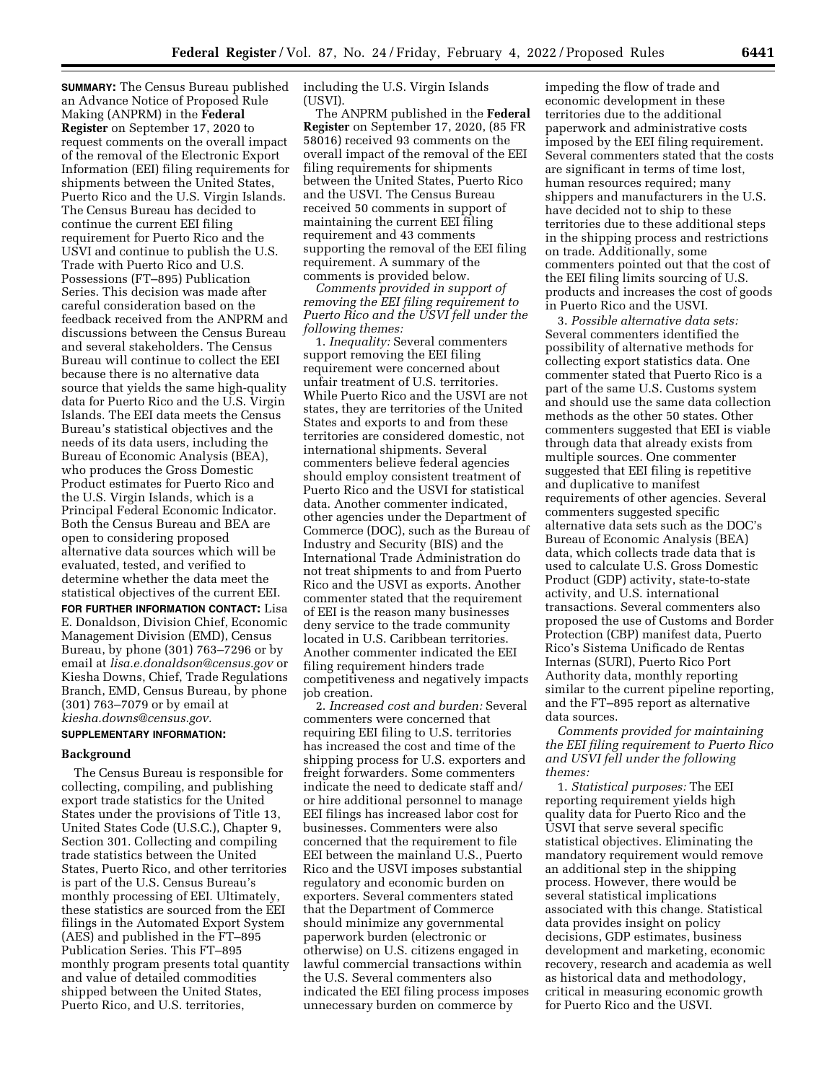**SUMMARY:** The Census Bureau published an Advance Notice of Proposed Rule Making (ANPRM) in the **Federal Register** on September 17, 2020 to request comments on the overall impact of the removal of the Electronic Export Information (EEI) filing requirements for shipments between the United States, Puerto Rico and the U.S. Virgin Islands. The Census Bureau has decided to continue the current EEI filing requirement for Puerto Rico and the USVI and continue to publish the U.S. Trade with Puerto Rico and U.S. Possessions (FT–895) Publication Series. This decision was made after careful consideration based on the feedback received from the ANPRM and discussions between the Census Bureau and several stakeholders. The Census Bureau will continue to collect the EEI because there is no alternative data source that yields the same high-quality data for Puerto Rico and the U.S. Virgin Islands. The EEI data meets the Census Bureau's statistical objectives and the needs of its data users, including the Bureau of Economic Analysis (BEA), who produces the Gross Domestic Product estimates for Puerto Rico and the U.S. Virgin Islands, which is a Principal Federal Economic Indicator. Both the Census Bureau and BEA are open to considering proposed alternative data sources which will be evaluated, tested, and verified to determine whether the data meet the statistical objectives of the current EEI. **FOR FURTHER INFORMATION CONTACT:** Lisa E. Donaldson, Division Chief, Economic Management Division (EMD), Census Bureau, by phone (301) 763–7296 or by email at *[lisa.e.donaldson@census.gov](mailto:lisa.e.donaldson@census.gov)* or Kiesha Downs, Chief, Trade Regulations

(301) 763–7079 or by email at *[kiesha.downs@census.gov.](mailto:kiesha.downs@census.gov)*  **SUPPLEMENTARY INFORMATION:** 

Branch, EMD, Census Bureau, by phone

# **Background**

The Census Bureau is responsible for collecting, compiling, and publishing export trade statistics for the United States under the provisions of Title 13, United States Code (U.S.C.), Chapter 9, Section 301. Collecting and compiling trade statistics between the United States, Puerto Rico, and other territories is part of the U.S. Census Bureau's monthly processing of EEI. Ultimately, these statistics are sourced from the EEI filings in the Automated Export System (AES) and published in the FT–895 Publication Series. This FT–895 monthly program presents total quantity and value of detailed commodities shipped between the United States, Puerto Rico, and U.S. territories,

including the U.S. Virgin Islands (USVI).

The ANPRM published in the **Federal Register** on September 17, 2020, (85 FR 58016) received 93 comments on the overall impact of the removal of the EEI filing requirements for shipments between the United States, Puerto Rico and the USVI. The Census Bureau received 50 comments in support of maintaining the current EEI filing requirement and 43 comments supporting the removal of the EEI filing requirement. A summary of the comments is provided below.

*Comments provided in support of removing the EEI filing requirement to Puerto Rico and the USVI fell under the following themes:* 

1. *Inequality:* Several commenters support removing the EEI filing requirement were concerned about unfair treatment of U.S. territories. While Puerto Rico and the USVI are not states, they are territories of the United States and exports to and from these territories are considered domestic, not international shipments. Several commenters believe federal agencies should employ consistent treatment of Puerto Rico and the USVI for statistical data. Another commenter indicated, other agencies under the Department of Commerce (DOC), such as the Bureau of Industry and Security (BIS) and the International Trade Administration do not treat shipments to and from Puerto Rico and the USVI as exports. Another commenter stated that the requirement of EEI is the reason many businesses deny service to the trade community located in U.S. Caribbean territories. Another commenter indicated the EEI filing requirement hinders trade competitiveness and negatively impacts job creation.

2. *Increased cost and burden:* Several commenters were concerned that requiring EEI filing to U.S. territories has increased the cost and time of the shipping process for U.S. exporters and freight forwarders. Some commenters indicate the need to dedicate staff and/ or hire additional personnel to manage EEI filings has increased labor cost for businesses. Commenters were also concerned that the requirement to file EEI between the mainland U.S., Puerto Rico and the USVI imposes substantial regulatory and economic burden on exporters. Several commenters stated that the Department of Commerce should minimize any governmental paperwork burden (electronic or otherwise) on U.S. citizens engaged in lawful commercial transactions within the U.S. Several commenters also indicated the EEI filing process imposes unnecessary burden on commerce by

impeding the flow of trade and economic development in these territories due to the additional paperwork and administrative costs imposed by the EEI filing requirement. Several commenters stated that the costs are significant in terms of time lost, human resources required; many shippers and manufacturers in the U.S. have decided not to ship to these territories due to these additional steps in the shipping process and restrictions on trade. Additionally, some commenters pointed out that the cost of the EEI filing limits sourcing of U.S. products and increases the cost of goods in Puerto Rico and the USVI.

3. *Possible alternative data sets:*  Several commenters identified the possibility of alternative methods for collecting export statistics data. One commenter stated that Puerto Rico is a part of the same U.S. Customs system and should use the same data collection methods as the other 50 states. Other commenters suggested that EEI is viable through data that already exists from multiple sources. One commenter suggested that EEI filing is repetitive and duplicative to manifest requirements of other agencies. Several commenters suggested specific alternative data sets such as the DOC's Bureau of Economic Analysis (BEA) data, which collects trade data that is used to calculate U.S. Gross Domestic Product (GDP) activity, state-to-state activity, and U.S. international transactions. Several commenters also proposed the use of Customs and Border Protection (CBP) manifest data, Puerto Rico's Sistema Unificado de Rentas Internas (SURI), Puerto Rico Port Authority data, monthly reporting similar to the current pipeline reporting, and the FT–895 report as alternative data sources.

*Comments provided for maintaining the EEI filing requirement to Puerto Rico and USVI fell under the following themes:* 

1. *Statistical purposes:* The EEI reporting requirement yields high quality data for Puerto Rico and the USVI that serve several specific statistical objectives. Eliminating the mandatory requirement would remove an additional step in the shipping process. However, there would be several statistical implications associated with this change. Statistical data provides insight on policy decisions, GDP estimates, business development and marketing, economic recovery, research and academia as well as historical data and methodology, critical in measuring economic growth for Puerto Rico and the USVI.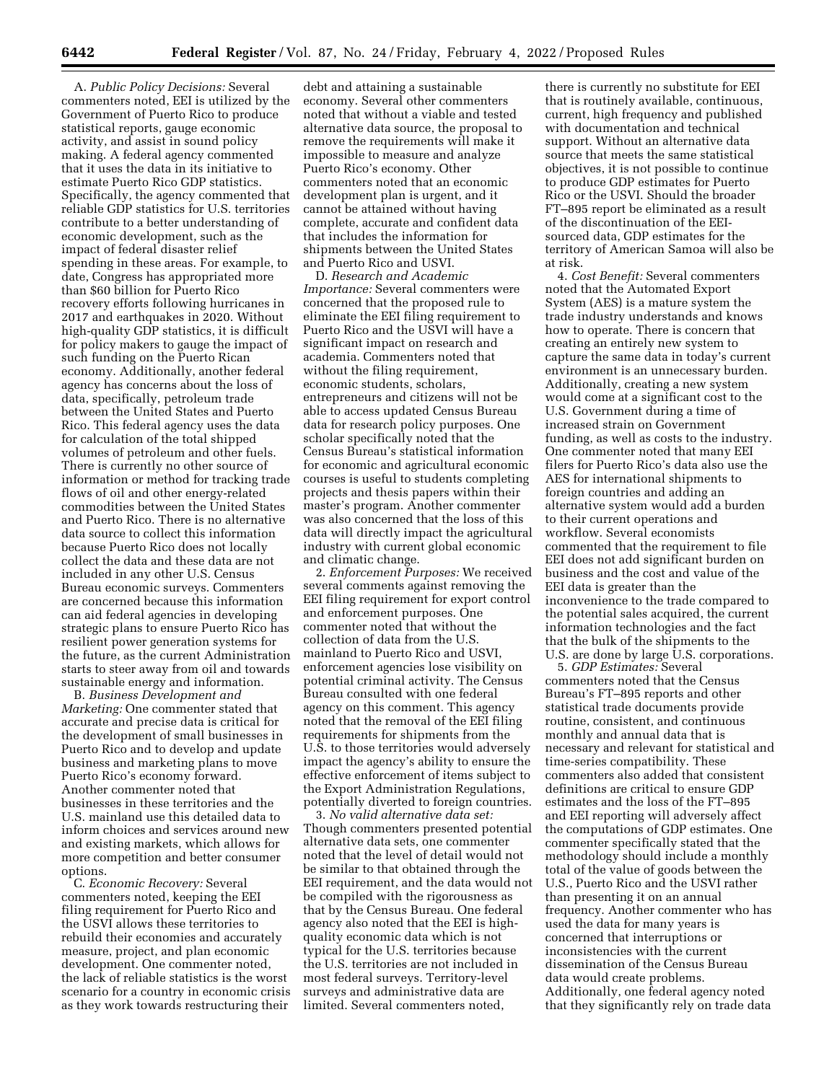A. *Public Policy Decisions:* Several commenters noted, EEI is utilized by the Government of Puerto Rico to produce statistical reports, gauge economic activity, and assist in sound policy making. A federal agency commented that it uses the data in its initiative to estimate Puerto Rico GDP statistics. Specifically, the agency commented that reliable GDP statistics for U.S. territories contribute to a better understanding of economic development, such as the impact of federal disaster relief spending in these areas. For example, to date, Congress has appropriated more than \$60 billion for Puerto Rico recovery efforts following hurricanes in 2017 and earthquakes in 2020. Without high-quality GDP statistics, it is difficult for policy makers to gauge the impact of such funding on the Puerto Rican economy. Additionally, another federal agency has concerns about the loss of data, specifically, petroleum trade between the United States and Puerto Rico. This federal agency uses the data for calculation of the total shipped volumes of petroleum and other fuels. There is currently no other source of information or method for tracking trade flows of oil and other energy-related commodities between the United States and Puerto Rico. There is no alternative data source to collect this information because Puerto Rico does not locally collect the data and these data are not included in any other U.S. Census Bureau economic surveys. Commenters are concerned because this information can aid federal agencies in developing strategic plans to ensure Puerto Rico has resilient power generation systems for the future, as the current Administration starts to steer away from oil and towards sustainable energy and information.

B. *Business Development and Marketing:* One commenter stated that accurate and precise data is critical for the development of small businesses in Puerto Rico and to develop and update business and marketing plans to move Puerto Rico's economy forward. Another commenter noted that businesses in these territories and the U.S. mainland use this detailed data to inform choices and services around new and existing markets, which allows for more competition and better consumer options.

C. *Economic Recovery:* Several commenters noted, keeping the EEI filing requirement for Puerto Rico and the USVI allows these territories to rebuild their economies and accurately measure, project, and plan economic development. One commenter noted, the lack of reliable statistics is the worst scenario for a country in economic crisis as they work towards restructuring their

debt and attaining a sustainable economy. Several other commenters noted that without a viable and tested alternative data source, the proposal to remove the requirements will make it impossible to measure and analyze Puerto Rico's economy. Other commenters noted that an economic development plan is urgent, and it cannot be attained without having complete, accurate and confident data that includes the information for shipments between the United States and Puerto Rico and USVI.

D. *Research and Academic Importance:* Several commenters were concerned that the proposed rule to eliminate the EEI filing requirement to Puerto Rico and the USVI will have a significant impact on research and academia. Commenters noted that without the filing requirement, economic students, scholars, entrepreneurs and citizens will not be able to access updated Census Bureau data for research policy purposes. One scholar specifically noted that the Census Bureau's statistical information for economic and agricultural economic courses is useful to students completing projects and thesis papers within their master's program. Another commenter was also concerned that the loss of this data will directly impact the agricultural industry with current global economic and climatic change.

2. *Enforcement Purposes:* We received several comments against removing the EEI filing requirement for export control and enforcement purposes. One commenter noted that without the collection of data from the U.S. mainland to Puerto Rico and USVI, enforcement agencies lose visibility on potential criminal activity. The Census Bureau consulted with one federal agency on this comment. This agency noted that the removal of the EEI filing requirements for shipments from the U.S. to those territories would adversely impact the agency's ability to ensure the effective enforcement of items subject to the Export Administration Regulations, potentially diverted to foreign countries.

3. *No valid alternative data set:*  Though commenters presented potential alternative data sets, one commenter noted that the level of detail would not be similar to that obtained through the EEI requirement, and the data would not be compiled with the rigorousness as that by the Census Bureau. One federal agency also noted that the EEI is highquality economic data which is not typical for the U.S. territories because the U.S. territories are not included in most federal surveys. Territory-level surveys and administrative data are limited. Several commenters noted,

there is currently no substitute for EEI that is routinely available, continuous, current, high frequency and published with documentation and technical support. Without an alternative data source that meets the same statistical objectives, it is not possible to continue to produce GDP estimates for Puerto Rico or the USVI. Should the broader FT–895 report be eliminated as a result of the discontinuation of the EEIsourced data, GDP estimates for the territory of American Samoa will also be at risk.

4. *Cost Benefit:* Several commenters noted that the Automated Export System (AES) is a mature system the trade industry understands and knows how to operate. There is concern that creating an entirely new system to capture the same data in today's current environment is an unnecessary burden. Additionally, creating a new system would come at a significant cost to the U.S. Government during a time of increased strain on Government funding, as well as costs to the industry. One commenter noted that many EEI filers for Puerto Rico's data also use the AES for international shipments to foreign countries and adding an alternative system would add a burden to their current operations and workflow. Several economists commented that the requirement to file EEI does not add significant burden on business and the cost and value of the EEI data is greater than the inconvenience to the trade compared to the potential sales acquired, the current information technologies and the fact that the bulk of the shipments to the U.S. are done by large U.S. corporations.

5. *GDP Estimates:* Several commenters noted that the Census Bureau's FT–895 reports and other statistical trade documents provide routine, consistent, and continuous monthly and annual data that is necessary and relevant for statistical and time-series compatibility. These commenters also added that consistent definitions are critical to ensure GDP estimates and the loss of the FT–895 and EEI reporting will adversely affect the computations of GDP estimates. One commenter specifically stated that the methodology should include a monthly total of the value of goods between the U.S., Puerto Rico and the USVI rather than presenting it on an annual frequency. Another commenter who has used the data for many years is concerned that interruptions or inconsistencies with the current dissemination of the Census Bureau data would create problems. Additionally, one federal agency noted that they significantly rely on trade data